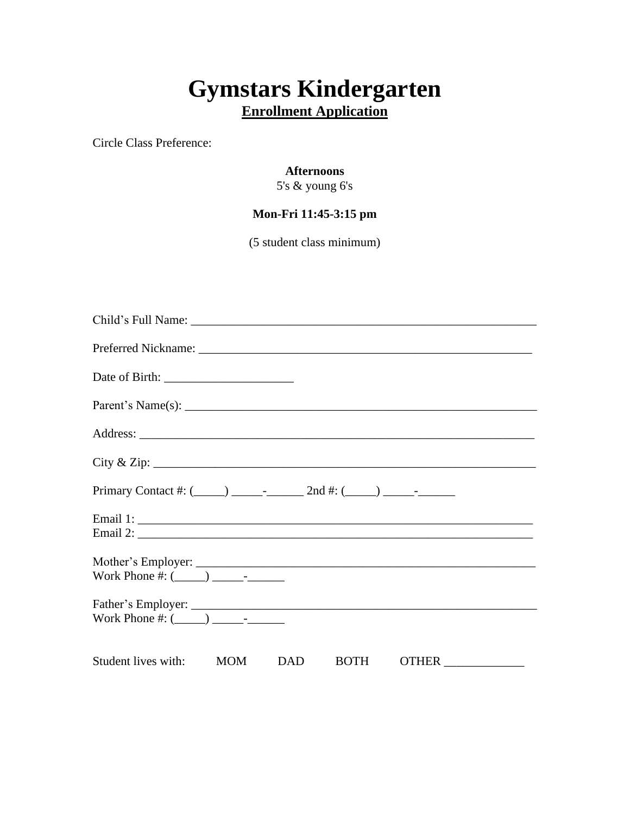# **Gymstars Kindergarten Enrollment Application**

Circle Class Preference:

## **Afternoons**

5's & young 6's

# **Mon-Fri 11:45-3:15 pm**

(5 student class minimum)

| $\operatorname{City} \& \operatorname{Zip:}$ |  |             |       |
|----------------------------------------------|--|-------------|-------|
|                                              |  |             |       |
|                                              |  |             |       |
|                                              |  |             |       |
|                                              |  |             |       |
|                                              |  |             |       |
| Student lives with: MOM DAD                  |  | <b>BOTH</b> | OTHER |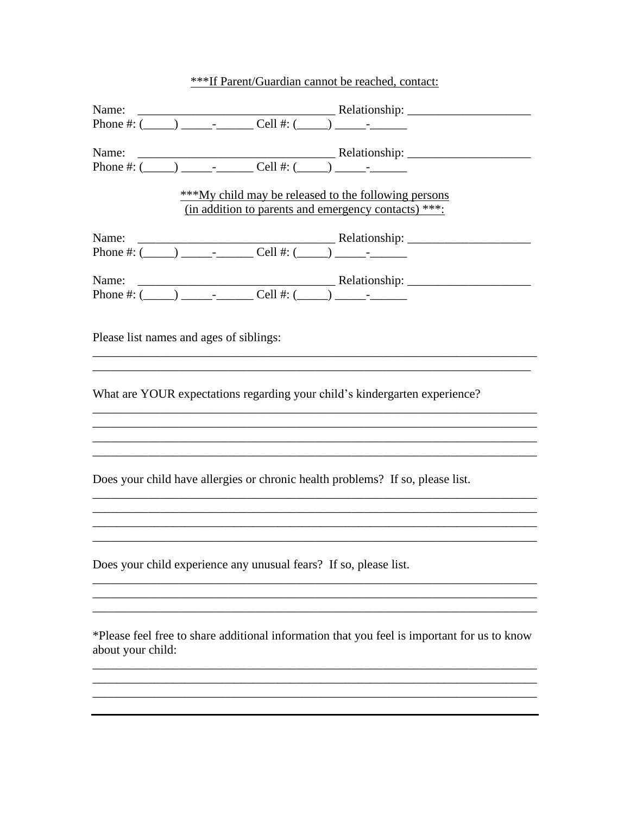| ***If Parent/Guardian cannot be reached, contact: |  |
|---------------------------------------------------|--|
|---------------------------------------------------|--|

|                                                                                                                                                                                                                                                                                                                                                                                                                                                  | ***My child may be released to the following persons<br>(in addition to parents and emergency contacts) ***: |
|--------------------------------------------------------------------------------------------------------------------------------------------------------------------------------------------------------------------------------------------------------------------------------------------------------------------------------------------------------------------------------------------------------------------------------------------------|--------------------------------------------------------------------------------------------------------------|
|                                                                                                                                                                                                                                                                                                                                                                                                                                                  |                                                                                                              |
| Name: $\frac{\text{Relative area: } \frac{1}{2} \cdot \text{P}(\frac{1}{2} \cdot \text{P}(\frac{1}{2} \cdot \text{P}(\frac{1}{2} \cdot \text{P}(\frac{1}{2} \cdot \text{P}(\frac{1}{2} \cdot \text{P}(\frac{1}{2} \cdot \text{P}(\frac{1}{2} \cdot \text{P}(\frac{1}{2} \cdot \text{P}(\frac{1}{2} \cdot \text{P}(\frac{1}{2} \cdot \text{P}(\frac{1}{2} \cdot \text{P}(\frac{1}{2} \cdot \text{P}(\frac{1}{2} \cdot \text{P}(\frac{1}{2} \cdot$ |                                                                                                              |
| Please list names and ages of siblings:                                                                                                                                                                                                                                                                                                                                                                                                          |                                                                                                              |
| What are YOUR expectations regarding your child's kindergarten experience?                                                                                                                                                                                                                                                                                                                                                                       |                                                                                                              |
|                                                                                                                                                                                                                                                                                                                                                                                                                                                  |                                                                                                              |
| Does your child have allergies or chronic health problems? If so, please list.                                                                                                                                                                                                                                                                                                                                                                   |                                                                                                              |
|                                                                                                                                                                                                                                                                                                                                                                                                                                                  |                                                                                                              |
| Does your child experience any unusual fears? If so, please list.                                                                                                                                                                                                                                                                                                                                                                                |                                                                                                              |
|                                                                                                                                                                                                                                                                                                                                                                                                                                                  |                                                                                                              |
|                                                                                                                                                                                                                                                                                                                                                                                                                                                  |                                                                                                              |
| about your child:                                                                                                                                                                                                                                                                                                                                                                                                                                | *Please feel free to share additional information that you feel is important for us to know                  |
|                                                                                                                                                                                                                                                                                                                                                                                                                                                  |                                                                                                              |
|                                                                                                                                                                                                                                                                                                                                                                                                                                                  |                                                                                                              |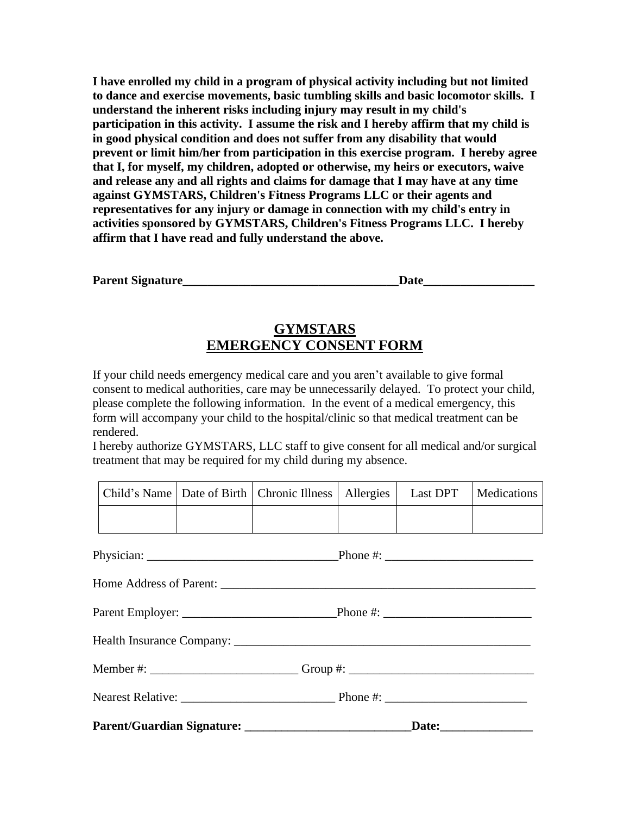**I have enrolled my child in a program of physical activity including but not limited to dance and exercise movements, basic tumbling skills and basic locomotor skills. I understand the inherent risks including injury may result in my child's participation in this activity. I assume the risk and I hereby affirm that my child is in good physical condition and does not suffer from any disability that would prevent or limit him/her from participation in this exercise program. I hereby agree that I, for myself, my children, adopted or otherwise, my heirs or executors, waive and release any and all rights and claims for damage that I may have at any time against GYMSTARS, Children's Fitness Programs LLC or their agents and representatives for any injury or damage in connection with my child's entry in activities sponsored by GYMSTARS, Children's Fitness Programs LLC. I hereby affirm that I have read and fully understand the above.**

| <b>Parent Signature</b> |  |
|-------------------------|--|
|                         |  |

# **GYMSTARS EMERGENCY CONSENT FORM**

If your child needs emergency medical care and you aren't available to give formal consent to medical authorities, care may be unnecessarily delayed. To protect your child, please complete the following information. In the event of a medical emergency, this form will accompany your child to the hospital/clinic so that medical treatment can be rendered.

I hereby authorize GYMSTARS, LLC staff to give consent for all medical and/or surgical treatment that may be required for my child during my absence.

|  | Child's Name   Date of Birth   Chronic Illness   Allergies   Last DPT   Medications |  |  |
|--|-------------------------------------------------------------------------------------|--|--|
|  |                                                                                     |  |  |

| Member #: ____________________________Group #: _________________________________ |  |
|----------------------------------------------------------------------------------|--|
|                                                                                  |  |
|                                                                                  |  |
|                                                                                  |  |
|                                                                                  |  |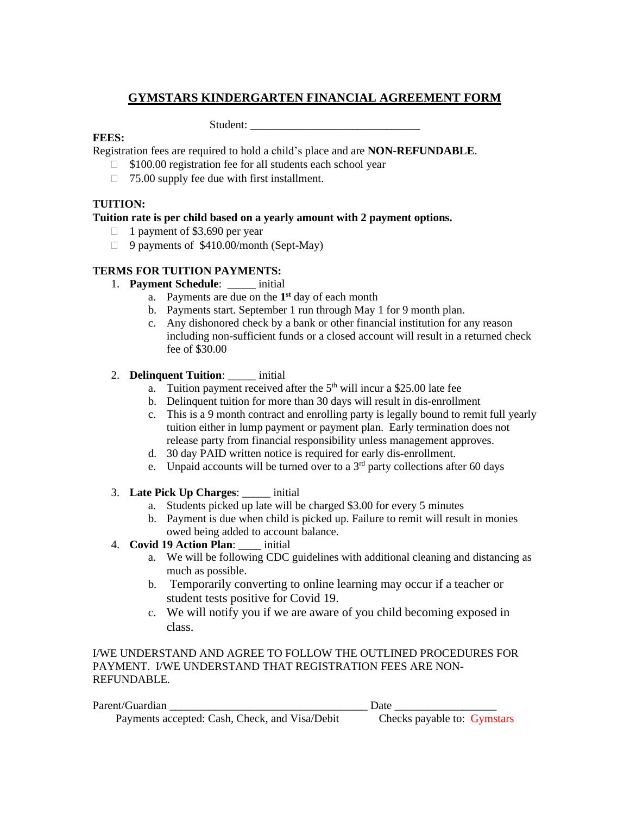# **GYMSTARS KINDERGARTEN FINANCIAL AGREEMENT FORM**

Student:

#### **FEES:**

Registration fees are required to hold a child's place and are **NON-REFUNDABLE**.

- □ \$100.00 registration fee for all students each school year
- $\Box$  75.00 supply fee due with first installment.

## **TUITION:**

#### **Tuition rate is per child based on a yearly amount with 2 payment options.**

- $\Box$  1 payment of \$3,690 per year
- $\Box$  9 payments of \$410.00/month (Sept-May)

#### **TERMS FOR TUITION PAYMENTS:**

- 1. **Payment Schedule**: \_\_\_\_\_ initial
	- a. Payments are due on the **1 st** day of each month
	- b. Payments start. September 1 run through May 1 for 9 month plan.
	- c. Any dishonored check by a bank or other financial institution for any reason including non-sufficient funds or a closed account will result in a returned check fee of \$30.00

## 2. **Delinquent Tuition**: \_\_\_\_\_ initial

- a. Tuition payment received after the  $5<sup>th</sup>$  will incur a \$25.00 late fee
- b. Delinquent tuition for more than 30 days will result in dis-enrollment
- c. This is a 9 month contract and enrolling party is legally bound to remit full yearly tuition either in lump payment or payment plan. Early termination does not release party from financial responsibility unless management approves.
- d. 30 day PAID written notice is required for early dis-enrollment.
- e. Unpaid accounts will be turned over to a  $3<sup>rd</sup>$  party collections after 60 days
- 3. **Late Pick Up Charges**: \_\_\_\_\_ initial
	- a. Students picked up late will be charged \$3.00 for every 5 minutes
	- b. Payment is due when child is picked up. Failure to remit will result in monies owed being added to account balance.

## 4. **Covid 19 Action Plan**: \_\_\_\_ initial

- a. We will be following CDC guidelines with additional cleaning and distancing as much as possible.
- b. Temporarily converting to online learning may occur if a teacher or student tests positive for Covid 19.
- c. We will notify you if we are aware of you child becoming exposed in class.

I/WE UNDERSTAND AND AGREE TO FOLLOW THE OUTLINED PROCEDURES FOR PAYMENT. I/WE UNDERSTAND THAT REGISTRATION FEES ARE NON-REFUNDABLE.

| Parent/Guardian                                | Date                        |  |
|------------------------------------------------|-----------------------------|--|
| Payments accepted: Cash, Check, and Visa/Debit | Checks payable to: Gymstars |  |